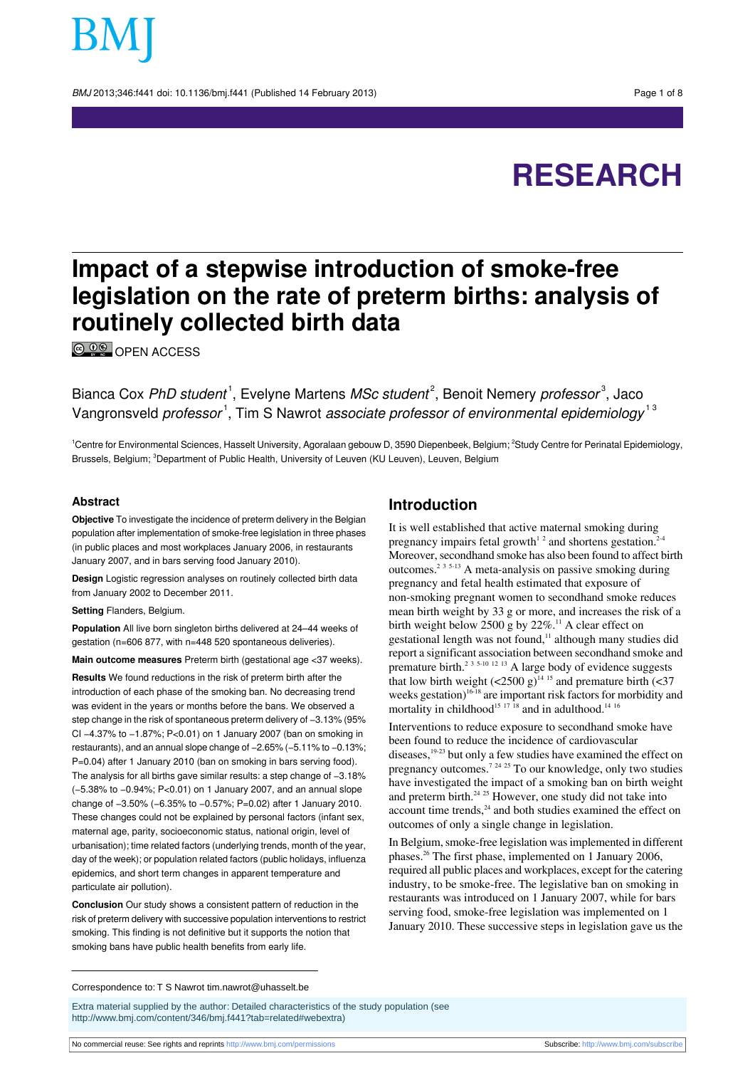BMJ 2013;346:f441 doi: 10.1136/bmj.f441 (Published 14 February 2013) Page 1 of 8

# **RESEARCH**

# **Impact of a stepwise introduction of smoke-free legislation on the rate of preterm births: analysis of routinely collected birth data**

<sup>©</sup>
<sup>O</sup>
©
OPEN ACCESS

Bianca Cox PhD student<sup>1</sup>, Evelyne Martens MSc student<sup>2</sup>, Benoit Nemery professor<sup>3</sup>, Jaco Vangronsveld *professor*<sup>1</sup>, Tim S Nawrot *associate professor of environmental epidemiology*<sup>13</sup>

<sup>1</sup>Centre for Environmental Sciences, Hasselt University, Agoralaan gebouw D, 3590 Diepenbeek, Belgium; <sup>2</sup>Study Centre for Perinatal Epidemiology, Brussels, Belgium; <sup>3</sup>Department of Public Health, University of Leuven (KU Leuven), Leuven, Belgium

#### **Abstract**

**Objective** To investigate the incidence of preterm delivery in the Belgian population after implementation of smoke-free legislation in three phases (in public places and most workplaces January 2006, in restaurants January 2007, and in bars serving food January 2010).

**Design** Logistic regression analyses on routinely collected birth data from January 2002 to December 2011.

**Setting** Flanders, Belgium.

**Population** All live born singleton births delivered at 24–44 weeks of gestation (n=606 877, with n=448 520 spontaneous deliveries).

**Main outcome measures** Preterm birth (gestational age <37 weeks). **Results** We found reductions in the risk of preterm birth after the introduction of each phase of the smoking ban. No decreasing trend was evident in the years or months before the bans. We observed a step change in the risk of spontaneous preterm delivery of −3.13% (95% CI −4.37% to −1.87%; P<0.01) on 1 January 2007 (ban on smoking in restaurants), and an annual slope change of −2.65% (−5.11% to −0.13%; P=0.04) after 1 January 2010 (ban on smoking in bars serving food). The analysis for all births gave similar results: a step change of −3.18% (−5.38% to −0.94%; P<0.01) on 1 January 2007, and an annual slope change of −3.50% (−6.35% to −0.57%; P=0.02) after 1 January 2010. These changes could not be explained by personal factors (infant sex, maternal age, parity, socioeconomic status, national origin, level of urbanisation); time related factors (underlying trends, month of the year, day of the week); or population related factors (public holidays, influenza epidemics, and short term changes in apparent temperature and particulate air pollution).

**Conclusion** Our study shows a consistent pattern of reduction in the risk of preterm delivery with successive population interventions to restrict smoking. This finding is not definitive but it supports the notion that smoking bans have public health benefits from early life.

#### **Introduction**

It is well established that active maternal smoking during pregnancy impairs fetal growth<sup>12</sup> and shortens gestation.<sup>2-4</sup> Moreover, secondhand smoke has also been found to affect birth outcomes.<sup>2</sup> <sup>3</sup> 5-13 A meta-analysis on passive smoking during pregnancy and fetal health estimated that exposure of non-smoking pregnant women to secondhand smoke reduces mean birth weight by 33 g or more, and increases the risk of a birth weight below 2500 g by 22%.<sup>11</sup> A clear effect on gestational length was not found,<sup>11</sup> although many studies did report a significant association between secondhand smoke and premature birth.<sup>2 3 5-10 12 13</sup> A large body of evidence suggests that low birth weight  $(<2500 \text{ g})^{14.15}$  and premature birth  $(<37$ weeks gestation)<sup>16-18</sup> are important risk factors for morbidity and mortality in childhood<sup>15 17</sup> <sup>18</sup> and in adulthood.<sup>14 16</sup>

Interventions to reduce exposure to secondhand smoke have been found to reduce the incidence of cardiovascular diseases,<sup>19-23</sup> but only a few studies have examined the effect on pregnancy outcomes.<sup>7</sup> <sup>24</sup> <sup>25</sup> To our knowledge, only two studies have investigated the impact of a smoking ban on birth weight and preterm birth.<sup>24 25</sup> However, one study did not take into account time trends,<sup>24</sup> and both studies examined the effect on outcomes of only a single change in legislation.

In Belgium, smoke-free legislation was implemented in different phases.<sup>26</sup> The first phase, implemented on 1 January 2006, required all public places and workplaces, except for the catering industry, to be smoke-free. The legislative ban on smoking in restaurants was introduced on 1 January 2007, while for bars serving food, smoke-free legislation was implemented on 1 January 2010. These successive steps in legislation gave us the

Correspondence to: T S Nawrot tim.nawrot@uhasselt.be

Extra material supplied by the author: Detailed characteristics of the study population (see [http://www.bmj.com/content/346/bmj.f441?tab=related#webextra\)](http://www.bmj.com/content/346/bmj.f441?tab=related#webextra)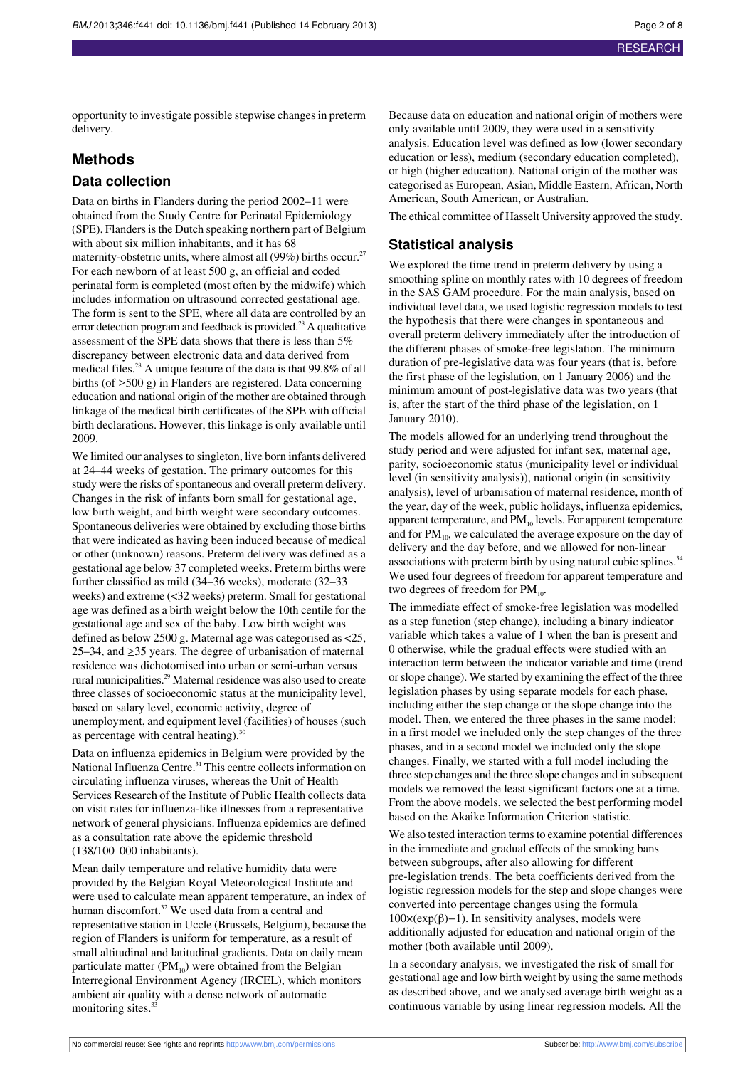opportunity to investigate possible stepwise changes in preterm delivery.

#### **Methods**

#### **Data collection**

Data on births in Flanders during the period 2002–11 were obtained from the Study Centre for Perinatal Epidemiology (SPE). Flanders is the Dutch speaking northern part of Belgium with about six million inhabitants, and it has 68 maternity-obstetric units, where almost all (99%) births occur.<sup>27</sup> For each newborn of at least 500 g, an official and coded perinatal form is completed (most often by the midwife) which includes information on ultrasound corrected gestational age. The form is sent to the SPE, where all data are controlled by an error detection program and feedback is provided.<sup>28</sup> A qualitative assessment of the SPE data shows that there is less than 5% discrepancy between electronic data and data derived from medical files.<sup>28</sup> A unique feature of the data is that 99.8% of all births (of ≥500 g) in Flanders are registered. Data concerning education and national origin of the mother are obtained through linkage of the medical birth certificates of the SPE with official birth declarations. However, this linkage is only available until 2009.

We limited our analyses to singleton, live born infants delivered at 24–44 weeks of gestation. The primary outcomes for this study were the risks of spontaneous and overall preterm delivery. Changes in the risk of infants born small for gestational age, low birth weight, and birth weight were secondary outcomes. Spontaneous deliveries were obtained by excluding those births that were indicated as having been induced because of medical or other (unknown) reasons. Preterm delivery was defined as a gestational age below 37 completed weeks. Preterm births were further classified as mild (34–36 weeks), moderate (32–33 weeks) and extreme (<32 weeks) preterm. Small for gestational age was defined as a birth weight below the 10th centile for the gestational age and sex of the baby. Low birth weight was defined as below 2500 g. Maternal age was categorised as <25, 25–34, and ≥35 years. The degree of urbanisation of maternal residence was dichotomised into urban or semi-urban versus rural municipalities.<sup>29</sup> Maternal residence was also used to create three classes of socioeconomic status at the municipality level, based on salary level, economic activity, degree of unemployment, and equipment level (facilities) of houses(such as percentage with central heating). $30$ 

Data on influenza epidemics in Belgium were provided by the National Influenza Centre.<sup>31</sup> This centre collects information on circulating influenza viruses, whereas the Unit of Health Services Research of the Institute of Public Health collects data on visit rates for influenza-like illnesses from a representative network of general physicians. Influenza epidemics are defined as a consultation rate above the epidemic threshold (138/100 000 inhabitants).

Mean daily temperature and relative humidity data were provided by the Belgian Royal Meteorological Institute and were used to calculate mean apparent temperature, an index of human discomfort.<sup>32</sup> We used data from a central and representative station in Uccle (Brussels, Belgium), because the region of Flanders is uniform for temperature, as a result of small altitudinal and latitudinal gradients. Data on daily mean particulate matter  $(PM_{10})$  were obtained from the Belgian Interregional Environment Agency (IRCEL), which monitors ambient air quality with a dense network of automatic monitoring sites.<sup>33</sup>

Because data on education and national origin of mothers were only available until 2009, they were used in a sensitivity analysis. Education level was defined as low (lower secondary education or less), medium (secondary education completed), or high (higher education). National origin of the mother was categorised as European, Asian, Middle Eastern, African, North American, South American, or Australian.

The ethical committee of Hasselt University approved the study.

#### **Statistical analysis**

We explored the time trend in preterm delivery by using a smoothing spline on monthly rates with 10 degrees of freedom in the SAS GAM procedure. For the main analysis, based on individual level data, we used logistic regression models to test the hypothesis that there were changes in spontaneous and overall preterm delivery immediately after the introduction of the different phases of smoke-free legislation. The minimum duration of pre-legislative data was four years (that is, before the first phase of the legislation, on 1 January 2006) and the minimum amount of post-legislative data was two years (that is, after the start of the third phase of the legislation, on 1 January 2010).

The models allowed for an underlying trend throughout the study period and were adjusted for infant sex, maternal age, parity, socioeconomic status (municipality level or individual level (in sensitivity analysis)), national origin (in sensitivity analysis), level of urbanisation of maternal residence, month of the year, day of the week, public holidays, influenza epidemics, apparent temperature, and  $PM_{10}$  levels. For apparent temperature and for  $PM_{10}$ , we calculated the average exposure on the day of delivery and the day before, and we allowed for non-linear associations with preterm birth by using natural cubic splines.<sup>34</sup> We used four degrees of freedom for apparent temperature and two degrees of freedom for  $PM_{10}$ .

The immediate effect of smoke-free legislation was modelled as a step function (step change), including a binary indicator variable which takes a value of 1 when the ban is present and 0 otherwise, while the gradual effects were studied with an interaction term between the indicator variable and time (trend orslope change). We started by examining the effect of the three legislation phases by using separate models for each phase, including either the step change or the slope change into the model. Then, we entered the three phases in the same model: in a first model we included only the step changes of the three phases, and in a second model we included only the slope changes. Finally, we started with a full model including the three step changes and the three slope changes and in subsequent models we removed the least significant factors one at a time. From the above models, we selected the best performing model based on the Akaike Information Criterion statistic.

We also tested interaction terms to examine potential differences in the immediate and gradual effects of the smoking bans between subgroups, after also allowing for different pre-legislation trends. The beta coefficients derived from the logistic regression models for the step and slope changes were converted into percentage changes using the formula  $100 \times (exp(β) - 1)$ . In sensitivity analyses, models were additionally adjusted for education and national origin of the mother (both available until 2009).

In a secondary analysis, we investigated the risk of small for gestational age and low birth weight by using the same methods as described above, and we analysed average birth weight as a continuous variable by using linear regression models. All the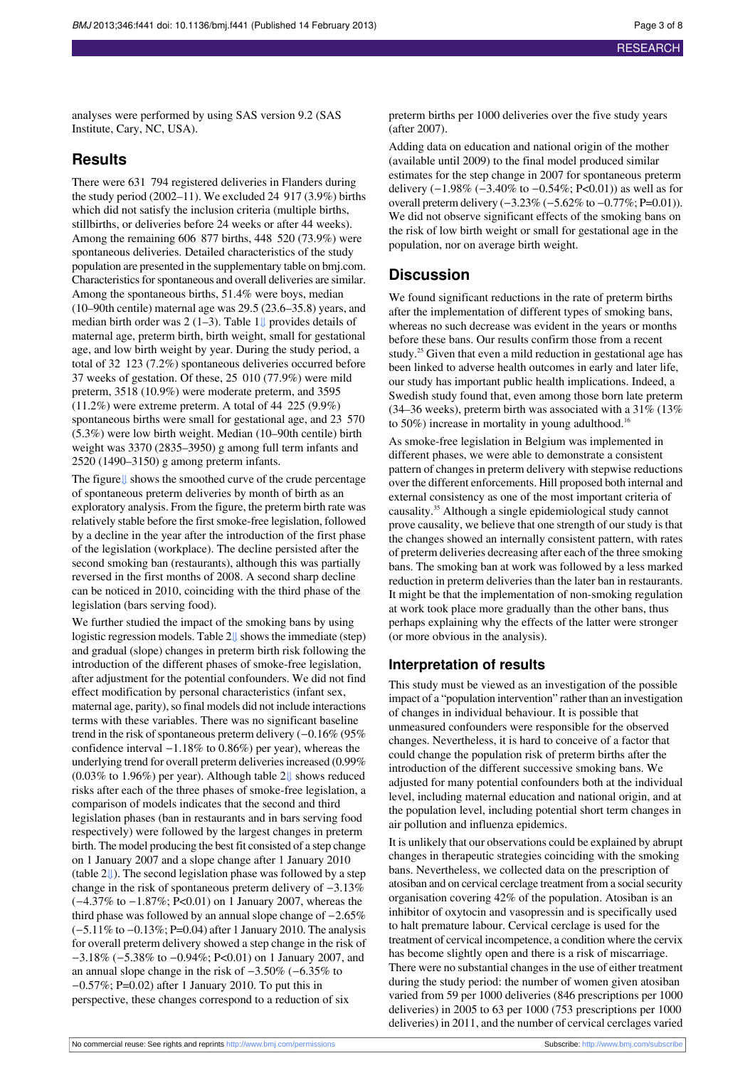analyses were performed by using SAS version 9.2 (SAS Institute, Cary, NC, USA).

#### **Results**

There were 631 794 registered deliveries in Flanders during the study period (2002–11). We excluded 24 917 (3.9%) births which did not satisfy the inclusion criteria (multiple births, stillbirths, or deliveries before 24 weeks or after 44 weeks). Among the remaining 606 877 births, 448 520 (73.9%) were spontaneous deliveries. Detailed characteristics of the study population are presented in the supplementary table on bmj.com. Characteristics for spontaneous and overall deliveries are similar. Among the spontaneous births, 51.4% were boys, median (10–90th centile) maternal age was 29.5 (23.6–35.8) years, and median birth order was 2 (1–3). Table 1 $\downarrow$  provides details of maternal age, preterm birth, birth weight, small for gestational age, and low birth weight by year. During the study period, a total of 32 123 (7.2%) spontaneous deliveries occurred before 37 weeks of gestation. Of these, 25 010 (77.9%) were mild preterm, 3518 (10.9%) were moderate preterm, and 3595 (11.2%) were extreme preterm. A total of 44 225 (9.9%) spontaneous births were small for gestational age, and 23 570 (5.3%) were low birth weight. Median (10–90th centile) birth weight was 3370 (2835–3950) g among full term infants and 2520 (1490–3150) g among preterm infants.

The figur[e⇓](#page-7-0) shows the smoothed curve of the crude percentage of spontaneous preterm deliveries by month of birth as an exploratory analysis. From the figure, the preterm birth rate was relatively stable before the first smoke-free legislation, followed by a decline in the year after the introduction of the first phase of the legislation (workplace). The decline persisted after the second smoking ban (restaurants), although this was partially reversed in the first months of 2008. A second sharp decline can be noticed in 2010, coinciding with the third phase of the legislation (bars serving food).

We further studied the impact of the smoking bans by using logistic regression models. Table 2↓ shows the immediate (step) and gradual (slope) changes in preterm birth risk following the introduction of the different phases of smoke-free legislation, after adjustment for the potential confounders. We did not find effect modification by personal characteristics (infant sex, maternal age, parity), so final models did not include interactions terms with these variables. There was no significant baseline trend in the risk of spontaneous preterm delivery  $(-0.16\%)(95\%)$ confidence interval −1.18% to 0.86%) per year), whereas the underlying trend for overall preterm deliveries increased (0.99%) (0.03% to 1.96%) per year). Although table 2[⇓](#page-6-0) shows reduced risks after each of the three phases of smoke-free legislation, a comparison of models indicates that the second and third legislation phases (ban in restaurants and in bars serving food respectively) were followed by the largest changes in preterm birth. The model producing the best fit consisted of a step change on 1 January 2007 and a slope change after 1 January 2010 (table [2⇓\)](#page-6-0). The second legislation phase was followed by a step change in the risk of spontaneous preterm delivery of −3.13% (−4.37% to −1.87%; P<0.01) on 1 January 2007, whereas the third phase was followed by an annual slope change of −2.65% (−5.11% to −0.13%; P=0.04) after 1 January 2010. The analysis for overall preterm delivery showed a step change in the risk of −3.18% (−5.38% to −0.94%; P<0.01) on 1 January 2007, and an annual slope change in the risk of −3.50% (−6.35% to −0.57%; P=0.02) after 1 January 2010. To put this in perspective, these changes correspond to a reduction of six

preterm births per 1000 deliveries over the five study years (after 2007).

Adding data on education and national origin of the mother (available until 2009) to the final model produced similar estimates for the step change in 2007 for spontaneous preterm delivery  $(-1.98\% (-3.40\% \text{ to } -0.54\%; P<0.01))$  as well as for overall preterm delivery (−3.23% (−5.62% to −0.77%; P=0.01)). We did not observe significant effects of the smoking bans on the risk of low birth weight or small for gestational age in the population, nor on average birth weight.

### **Discussion**

We found significant reductions in the rate of preterm births after the implementation of different types of smoking bans, whereas no such decrease was evident in the years or months before these bans. Our results confirm those from a recent study.<sup>25</sup> Given that even a mild reduction in gestational age has been linked to adverse health outcomes in early and later life, our study has important public health implications. Indeed, a Swedish study found that, even among those born late preterm (34–36 weeks), preterm birth was associated with a 31% (13% to 50%) increase in mortality in young adulthood.<sup>16</sup>

As smoke-free legislation in Belgium was implemented in different phases, we were able to demonstrate a consistent pattern of changes in preterm delivery with stepwise reductions over the different enforcements. Hill proposed both internal and external consistency as one of the most important criteria of causality.<sup>35</sup> Although a single epidemiological study cannot prove causality, we believe that one strength of ourstudy isthat the changes showed an internally consistent pattern, with rates of preterm deliveries decreasing after each of the three smoking bans. The smoking ban at work was followed by a less marked reduction in preterm deliveries than the later ban in restaurants. It might be that the implementation of non-smoking regulation at work took place more gradually than the other bans, thus perhaps explaining why the effects of the latter were stronger (or more obvious in the analysis).

#### **Interpretation of results**

This study must be viewed as an investigation of the possible impact of a "population intervention" rather than an investigation of changes in individual behaviour. It is possible that unmeasured confounders were responsible for the observed changes. Nevertheless, it is hard to conceive of a factor that could change the population risk of preterm births after the introduction of the different successive smoking bans. We adjusted for many potential confounders both at the individual level, including maternal education and national origin, and at the population level, including potential short term changes in air pollution and influenza epidemics.

It is unlikely that our observations could be explained by abrupt changes in therapeutic strategies coinciding with the smoking bans. Nevertheless, we collected data on the prescription of atosiban and on cervical cerclage treatment from a socialsecurity organisation covering 42% of the population. Atosiban is an inhibitor of oxytocin and vasopressin and is specifically used to halt premature labour. Cervical cerclage is used for the treatment of cervical incompetence, a condition where the cervix has become slightly open and there is a risk of miscarriage. There were no substantial changes in the use of either treatment during the study period: the number of women given atosiban varied from 59 per 1000 deliveries (846 prescriptions per 1000 deliveries) in 2005 to 63 per 1000 (753 prescriptions per 1000 deliveries) in 2011, and the number of cervical cerclages varied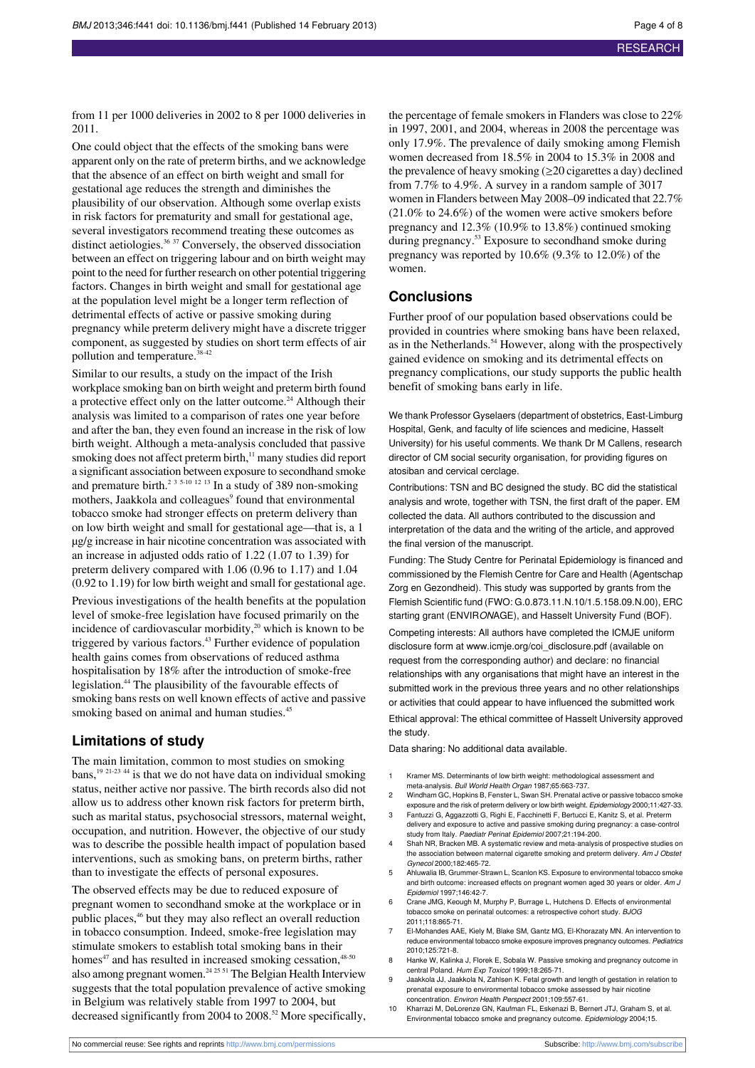from 11 per 1000 deliveries in 2002 to 8 per 1000 deliveries in 2011.

One could object that the effects of the smoking bans were apparent only on the rate of preterm births, and we acknowledge that the absence of an effect on birth weight and small for gestational age reduces the strength and diminishes the plausibility of our observation. Although some overlap exists in risk factors for prematurity and small for gestational age, several investigators recommend treating these outcomes as distinct aetiologies.<sup>36 37</sup> Conversely, the observed dissociation between an effect on triggering labour and on birth weight may point to the need for further research on other potential triggering factors. Changes in birth weight and small for gestational age at the population level might be a longer term reflection of detrimental effects of active or passive smoking during pregnancy while preterm delivery might have a discrete trigger component, as suggested by studies on short term effects of air pollution and temperature.<sup>38-42</sup>

Similar to our results, a study on the impact of the Irish workplace smoking ban on birth weight and preterm birth found a protective effect only on the latter outcome.<sup>24</sup> Although their analysis was limited to a comparison of rates one year before and after the ban, they even found an increase in the risk of low birth weight. Although a meta-analysis concluded that passive smoking does not affect preterm birth,<sup>11</sup> many studies did report a significant association between exposure to secondhand smoke and premature birth.<sup>2 3 5-10 12 13</sup> In a study of 389 non-smoking mothers, Jaakkola and colleagues<sup>9</sup> found that environmental tobacco smoke had stronger effects on preterm delivery than on low birth weight and small for gestational age—that is, a 1 µg/g increase in hair nicotine concentration was associated with an increase in adjusted odds ratio of 1.22 (1.07 to 1.39) for preterm delivery compared with 1.06 (0.96 to 1.17) and 1.04 (0.92 to 1.19) for low birth weight and small for gestational age.

Previous investigations of the health benefits at the population level of smoke-free legislation have focused primarily on the incidence of cardiovascular morbidity, $20$  which is known to be triggered by various factors.<sup>43</sup> Further evidence of population health gains comes from observations of reduced asthma hospitalisation by 18% after the introduction of smoke-free legislation.<sup>44</sup> The plausibility of the favourable effects of smoking bans rests on well known effects of active and passive smoking based on animal and human studies.<sup>45</sup>

#### **Limitations of study**

The main limitation, common to most studies on smoking bans, $19 \times 21-23$  44 is that we do not have data on individual smoking status, neither active nor passive. The birth records also did not allow us to address other known risk factors for preterm birth, such as marital status, psychosocial stressors, maternal weight, occupation, and nutrition. However, the objective of our study was to describe the possible health impact of population based interventions, such as smoking bans, on preterm births, rather than to investigate the effects of personal exposures.

The observed effects may be due to reduced exposure of pregnant women to secondhand smoke at the workplace or in public places,<sup>46</sup> but they may also reflect an overall reduction in tobacco consumption. Indeed, smoke-free legislation may stimulate smokers to establish total smoking bans in their homes<sup>47</sup> and has resulted in increased smoking cessation,<sup>48-50</sup> also among pregnant women.<sup>24 25 51</sup> The Belgian Health Interview suggests that the total population prevalence of active smoking in Belgium was relatively stable from 1997 to 2004, but decreased significantly from 2004 to 2008.<sup>52</sup> More specifically, the percentage of female smokers in Flanders was close to 22% in 1997, 2001, and 2004, whereas in 2008 the percentage was only 17.9%. The prevalence of daily smoking among Flemish women decreased from 18.5% in 2004 to 15.3% in 2008 and the prevalence of heavy smoking  $(\geq 20$  cigarettes a day) declined from 7.7% to 4.9%. A survey in a random sample of 3017 women in Flanders between May 2008–09 indicated that 22.7% (21.0% to 24.6%) of the women were active smokers before pregnancy and 12.3% (10.9% to 13.8%) continued smoking during pregnancy.<sup>53</sup> Exposure to secondhand smoke during pregnancy was reported by 10.6% (9.3% to 12.0%) of the women.

#### **Conclusions**

Further proof of our population based observations could be provided in countries where smoking bans have been relaxed, as in the Netherlands.<sup>54</sup> However, along with the prospectively gained evidence on smoking and its detrimental effects on pregnancy complications, our study supports the public health benefit of smoking bans early in life.

We thank Professor Gyselaers (department of obstetrics, East-Limburg Hospital, Genk, and faculty of life sciences and medicine, Hasselt University) for his useful comments. We thank Dr M Callens, research director of CM social security organisation, for providing figures on atosiban and cervical cerclage.

Contributions: TSN and BC designed the study. BC did the statistical analysis and wrote, together with TSN, the first draft of the paper. EM collected the data. All authors contributed to the discussion and interpretation of the data and the writing of the article, and approved the final version of the manuscript.

Funding: The Study Centre for Perinatal Epidemiology is financed and commissioned by the Flemish Centre for Care and Health (Agentschap Zorg en Gezondheid). This study was supported by grants from the Flemish Scientific fund (FWO: G.0.873.11.N.10/1.5.158.09.N.00), ERC starting grant (ENVIRONAGE), and Hasselt University Fund (BOF).

Competing interests: All authors have completed the ICMJE uniform disclosure form at [www.icmje.org/coi\\_disclosure.pdf](http://www.icmje.org/coi_disclosure.pdf) (available on request from the corresponding author) and declare: no financial relationships with any organisations that might have an interest in the submitted work in the previous three years and no other relationships or activities that could appear to have influenced the submitted work Ethical approval: The ethical committee of Hasselt University approved the study.

Data sharing: No additional data available.

- 1 Kramer MS. Determinants of low birth weight: methodological assessment and meta-analysis. Bull World Health Organ 1987;65:663-737.
- 2 Windham GC, Hopkins B, Fenster L, Swan SH. Prenatal active or passive tobacco smoke exposure and the risk of preterm delivery or low birth weight. Epidemiology 2000;11:427-33.
- Fantuzzi G, Aggazzotti G, Righi E, Facchinetti F, Bertucci E, Kanitz S, et al. Preterm delivery and exposure to active and passive smoking during pregnancy: a case-control study from Italy. Paediatr Perinat Epidemiol 2007;21:194-200.
- shah NR, Bracken MB. A systematic review and meta-analysis of prospective studies on the association between maternal cigarette smoking and preterm delivery. Am J Obstet Gynecol 2000;182:465-72.
- 5 Ahluwalia IB, Grummer-Strawn L, Scanlon KS. Exposure to environmental tobacco smoke and birth outcome: increased effects on pregnant women aged 30 years or older. Am J Epidemiol 1997;146:42-7.
- 6 Crane JMG, Keough M, Murphy P, Burrage L, Hutchens D. Effects of environmental tobacco smoke on perinatal outcomes: a retrospective cohort study. BJOG 2011;118:865-71.
- 7 El-Mohandes AAE, Kiely M, Blake SM, Gantz MG, El-Khorazaty MN. An intervention to reduce environmental tobacco smoke exposure improves pregnancy outcomes. Pediatrics 2010;125:721-8.
- Hanke W, Kalinka J, Florek E, Sobala W. Passive smoking and pregnancy outcome in central Poland. Hum Exp Toxicol 1999;18:265-71.
- 9 Jaakkola JJ, Jaakkola N, Zahlsen K. Fetal growth and length of gestation in relation to prenatal exposure to environmental tobacco smoke assessed by hair nicotine concentration. Environ Health Perspect 2001;109:557-61.
- 10 Kharrazi M, DeLorenze GN, Kaufman FL, Eskenazi B, Bernert JTJ, Graham S, et al. Environmental tobacco smoke and pregnancy outcome. Epidemiology 2004;15.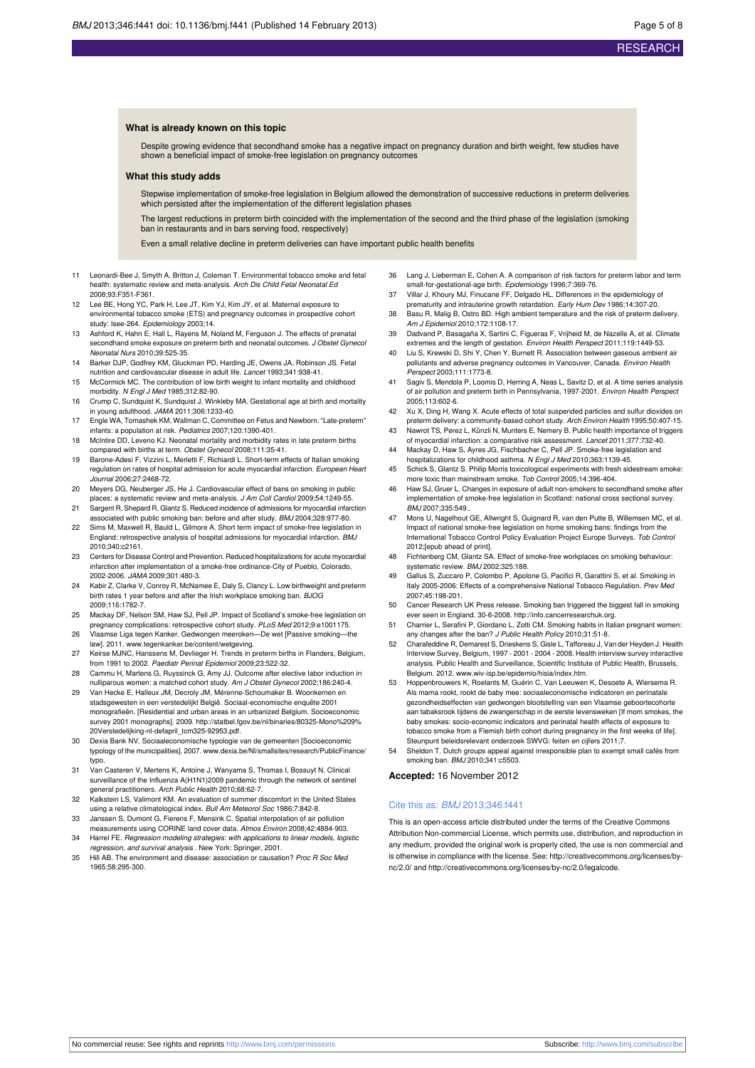#### **What is already known on this topic**

Despite growing evidence that secondhand smoke has a negative impact on pregnancy duration and birth weight, few studies have shown a beneficial impact of smoke-free legislation on pregnancy outcomes

#### **What this study adds**

Stepwise implementation of smoke-free legislation in Belgium allowed the demonstration of successive reductions in preterm deliveries which persisted after the implementation of the different legislation phases

The largest reductions in preterm birth coincided with the implementation of the second and the third phase of the legislation (smoking ban in restaurants and in bars serving food, respectively)

Even a small relative decline in preterm deliveries can have important public health benefits

- 11 Leonardi-Bee J, Smyth A, Britton J, Coleman T. Environmental tobacco smoke and fetal health: systematic review and meta-analysis. Arch Dis Child Fetal Neonatal Ed 2008;93:F351-F361.
- 12 Lee BE, Hong YC, Park H, Lee JT, Kim YJ, Kim JY, et al. Maternal exposure to environmental tobacco smoke (ETS) and pregnancy outcomes in prospective cohort study: Isee-264. Epidemiology 2003;14.
- 13 Ashford K, Hahn E, Hall L, Rayens M, Noland M, Ferguson J. The effects of prenatal secondhand smoke exposure on preterm birth and neonatal outcomes. J Obstet Gynecol Neonatal Nurs 2010;39:525-35.
- 14 Barker DJP, Godfrey KM, Gluckman PD, Harding JE, Owens JA, Robinson JS. Fetal nutrition and cardiovascular disease in adult life. Lancet 1993;341:938-41.
- 15 McCormick MC. The contribution of low birth weight to infant mortality and childhood morbidity. N Engl J Med 1985;312:82-90.
- 16 Crump C, Sundquist K, Sundquist J, Winkleby MA. Gestational age at birth and mortality in young adulthood. JAMA 2011;306:1233-40.
- 17 Engle WA, Tomashek KM, Wallman C, Committee on Fetus and Newborn. "Late-preterm" infants: a population at risk. Pediatrics 2007;120:1390-401.
- 18 McIntire DD, Leveno KJ. Neonatal mortality and morbidity rates in late preterm births compared with births at term. Obstet Gynecol 2008;111:35-41.
- 19 Barone-Adesi F, Vizzini L, Merletti F, Richiardi L. Short-term effects of Italian smoking regulation on rates of hospital admission for acute myocardial infarction. European Heart Journal 2006;27:2468-72.
- 20 Meyers DG, Neuberger JS, He J. Cardiovascular effect of bans on smoking in public places: a systematic review and meta-analysis. J Am Coll Cardiol 2009;54:1249-55.
- 21 Sargent R, Shepard R, Glantz S. Reduced incidence of admissions for myocardial infarction associated with public smoking ban: before and after study. BMJ 2004;328:977-80. 22 Sims M, Maxwell R, Bauld L, Gilmore A. Short term impact of smoke-free legislation in
- England: retrospective analysis of hospital admissions for myocardial infarction. BMJ 2010;340:c2161.
- 23 Centers for Disease Control and Prevention. Reduced hospitalizations for acute myocardial infarction after implementation of a smoke-free ordinance-City of Pueblo, Colorado, 2002-2006. JAMA 2009;301:480-3.
- 24 Kabir Z, Clarke V, Conroy R, McNamee E, Daly S, Clancy L. Low birthweight and preterm birth rates 1 year before and after the Irish workplace smoking ban. BJOG 2009;116:1782-7.
- 25 Mackay DF, Nelson SM, Haw SJ, Pell JP. Impact of Scotland's smoke-free legislation on
- pregnancy complications: retrospective cohort study. PLoS Med 2012;9:e1001175. 26 Vlaamse Liga tegen Kanker. Gedwongen meeroken—De wet [Passive smoking—the law]. 2011. [www.tegenkanker.be/content/wetgeving](http://www.tegenkanker.be/content/wetgeving).
- 27 Keirse MJNC, Hanssens M, Devlieger H. Trends in preterm births in Flanders, Belgium, from 1991 to 2002. Paediatr Perinat Epidemiol 2009;23:522-32.
- 28 Cammu H, Martens G, Ruyssinck G, Amy JJ. Outcome after elective labor induction in nulliparous women: a matched cohort study. Am J Obstet Gynecol 2002;186:240-4.
- 29 Van Hecke E, Halleux JM, Decroly JM, Mérenne-Schoumaker B. Woonkernen en stadsgewesten in een verstedelijkt België. Sociaal-economische enquête 2001 monografieën. [Residential and urban areas in an urbanized Belgium. Socioeconomic survey 2001 monographs]. 2009. [http://statbel.fgov.be/nl/binaries/80325-Mono%209%](http://statbel.fgov.be/nl/binaries/80325-Mono%209%20Verstedelijking-nl-defapril_tcm325-92953.pdf) [20Verstedelijking-nl-defapril\\_tcm325-92953.pdf.](http://statbel.fgov.be/nl/binaries/80325-Mono%209%20Verstedelijking-nl-defapril_tcm325-92953.pdf)
- 30 Dexia Bank NV. Sociaaleconomische typologie van de gemeenten [Socioeconomic typology of the municipalities]. 2007. [www.dexia.be/Nl/smallsites/research/PublicFinance/](http://www.dexia.be/Nl/smallsites/research/PublicFinance/typo) [typo.](http://www.dexia.be/Nl/smallsites/research/PublicFinance/typo)
- 31 Van Casteren V, Mertens K, Antoine J, Wanyama S, Thomas I, Bossuyt N. Clinical surveillance of the Influenza A(H1N1)2009 pandemic through the network of sentinel general practitioners. Arch Public Health 2010;68:62-7.
- 32 Kalkstein LS, Valimont KM. An evaluation of summer discomfort in the United States using a relative climatological index. Bull Am Meteorol Soc 1986;7:842-8.
- 33 Janssen S, Dumont G, Fierens F, Mensink C. Spatial interpolation of air pollution measurements using CORINE land cover data. Atmos Environ 2008;42:4884-903.
- 34 Harrel FE. Regression modeling strategies: with applications to linear models, logistic regression, and survival analysis . New York: Springer, 2001.
- 35 Hill AB. The environment and disease: association or causation? Proc R Soc Med 1965;58:295-300.
- 36 Lang J, Lieberman E, Cohen A. A comparison of risk factors for preterm labor and term small-for-gestational-age birth. Epidemiology 1996;7:369-76.
- 37 Villar J, Khoury MJ, Finucane FF, Delgado HL. Differences in the epidemiology of prematurity and intrauterine growth retardation. Early Hum Dev 1986;14:307-20.
- 38 Basu R, Malig B, Ostro BD. High ambient temperature and the risk of preterm delivery. Am J Epidemiol 2010;172:1108-17.
- 39 Dadvand P, Basagaña X, Sartini C, Figueras F, Vrijheid M, de Nazelle A, et al. Climate extremes and the length of gestation. Environ Health Perspect 2011;119:1449-53.
- 40 Liu S, Krewski D, Shi Y, Chen Y, Burnett R. Association between gaseous ambient air pollutants and adverse pregnancy outcomes in Vancouver, Canada. Environ Health Perspect 2003;111:1773-8.
- 41 Sagiv S, Mendola P, Loomis D, Herring A, Neas L, Savitz D, et al. A time series analysis of air pollution and preterm birth in Pennsylvania, 1997-2001. Environ Health Perspect 2005;113:602-6.
- 42 Xu X, Ding H, Wang X. Acute effects of total suspended particles and sulfur dioxides on preterm delivery: a community-based cohort study. Arch Environ Health 1995;50:407-15.
- 43 Nawrot TS, Perez L, Künzli N, Munters E, Nemery B. Public health importance of triggers of myocardial infarction: a comparative risk assessment. Lancet 2011;377:732-40.
- 44 Mackay D, Haw S, Ayres JG, Fischbacher C, Pell JP. Smoke-free legislation and hospitalizations for childhood asthma. N Engl J Med 2010;363:1139-45.
- 45 Schick S, Glantz S. Philip Morris toxicological experiments with fresh side more toxic than mainstream smoke. Tob Control 2005;14:396-404.
- 46 Haw SJ, Gruer L. Changes in exposure of adult non-smokers to secondhand smoke after implementation of smoke-free legislation in Scotland: national cross sectional survey. BMJ 2007;335:549..
- 47 Mons U, Nagelhout GE, Allwright S, Guignard R, van den Putte B, Willemsen MC, et al. Impact of national smoke-free legislation on home smoking bans: findings from the International Tobacco Control Policy Evaluation Project Europe Surveys. Tob Control 2012;[epub ahead of print].
- 48 Fichtenberg CM, Glantz SA. Effect of smoke-free workplaces on smoking behaviour: systematic review. BMJ 2002;325:188.
- Gallus S, Zuccaro P, Colombo P, Apolone G, Pacifici R, Garattini S, et al. Smoking in Italy 2005-2006: Effects of a comprehensive National Tobacco Regulation. Prev Med 2007;45:198-201.
- 50 Cancer Research UK Press release. Smoking ban triggered the biggest fall in smoking ever seen in England. 30-6-2008. [http://info.cancerresearchuk.org.](http://info.cancerresearchuk.org)
- 51 Charrier L, Serafini P, Giordano L, Zotti CM. Smoking habits in Italian pregnant women: any changes after the ban? J Public Health Policy 2010;31:51-8.
- 52 Charafeddine R, Demarest S, Drieskens S, Gisle L, Tafforeau J, Van der Heyden J. Health Interview Survey, Belgium, 1997 - 2001 - 2004 - 2008. Health interview survey interactive analysis. Public Health and Surveillance, Scientific Institute of Public Health, Brussels, Belgium. 2012. [www.wiv-isp.be/epidemio/hisia/index.htm](http://www.wiv-isp.be/epidemio/hisia/index.htm).
- 53 Hoppenbrouwers K, Roelants M, Guérin C, Van Leeuwen K, Desoete A, Wiersema R. Als mama rookt, rookt de baby mee: sociaaleconomische indicatoren en perinatale gezondheidseffecten van gedwongen blootstelling van een Vlaamse geboortecohorte aan tabaksrook tijdens de zwangerschap in de eerste levensweken [If mom smokes, the baby smokes: socio-economic indicators and perinatal health effects of exposure to tobacco smoke from a Flemish birth cohort during pregnancy in the first weeks of life]. Steunpunt beleidsrelevant onderzoek SWVG: feiten en cijfers 2011;7.
- Sheldon T. Dutch groups appeal against irresponsible plan to exempt small cafés from smoking ban. BMJ 2010;341:c5503.

#### **Accepted:** 16 November 2012

#### Cite this as: BMJ 2013;346:f441

This is an open-access article distributed under the terms of the Creative Commons Attribution Non-commercial License, which permits use, distribution, and reproduction in any medium, provided the original work is properly cited, the use is non commercial and is otherwise in compliance with the license. See: [http://creativecommons.org/licenses/by](http://creativecommons.org/licenses/by-nc/2.0/)[nc/2.0/](http://creativecommons.org/licenses/by-nc/2.0/) and <http://creativecommons.org/licenses/by-nc/2.0/legalcode>.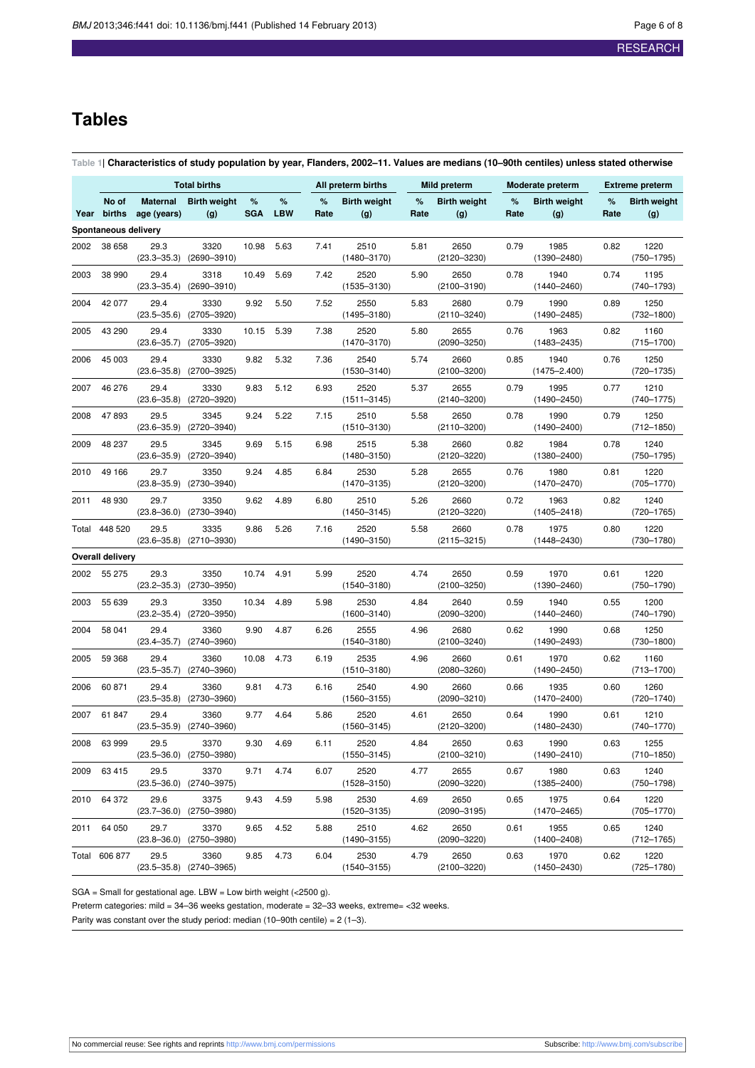## **Tables**

<span id="page-5-0"></span>Table 1| Characteristics of study population by year, Flanders, 2002-11. Values are medians (10-90th centiles) unless stated otherwise

|                      | <b>Total births</b>  |                                |                                         |                 | All preterm births |           | Mild preterm               |           | <b>Moderate preterm</b>    |           |                            | <b>Extreme preterm</b> |                            |
|----------------------|----------------------|--------------------------------|-----------------------------------------|-----------------|--------------------|-----------|----------------------------|-----------|----------------------------|-----------|----------------------------|------------------------|----------------------------|
|                      | No of<br>Year births | <b>Maternal</b><br>age (years) | <b>Birth weight</b><br>(g)              | %<br><b>SGA</b> | %<br><b>LBW</b>    | %<br>Rate | <b>Birth weight</b><br>(g) | %<br>Rate | <b>Birth weight</b><br>(g) | %<br>Rate | <b>Birth weight</b><br>(g) | %<br>Rate              | <b>Birth weight</b><br>(g) |
| Spontaneous delivery |                      |                                |                                         |                 |                    |           |                            |           |                            |           |                            |                        |                            |
| 2002                 | 38 658               | 29.3<br>$(23.3 - 35.3)$        | 3320<br>$(2690 - 3910)$                 | 10.98           | 5.63               | 7.41      | 2510<br>$(1480 - 3170)$    | 5.81      | 2650<br>$(2120 - 3230)$    | 0.79      | 1985<br>$(1390 - 2480)$    | 0.82                   | 1220<br>$(750 - 1795)$     |
| 2003                 | 38 990               | 29.4<br>$(23.3 - 35.4)$        | 3318<br>$(2690 - 3910)$                 | 10.49           | 5.69               | 7.42      | 2520<br>$(1535 - 3130)$    | 5.90      | 2650<br>$(2100 - 3190)$    | 0.78      | 1940<br>$(1440 - 2460)$    | 0.74                   | 1195<br>$(740 - 1793)$     |
| 2004                 | 42 077               | 29.4<br>$(23.5 - 35.6)$        | 3330<br>$(2705 - 3920)$                 | 9.92            | 5.50               | 7.52      | 2550<br>$(1495 - 3180)$    | 5.83      | 2680<br>$(2110 - 3240)$    | 0.79      | 1990<br>$(1490 - 2485)$    | 0.89                   | 1250<br>$(732 - 1800)$     |
| 2005                 | 43 290               | 29.4<br>$(23.6 - 35.7)$        | 3330<br>$(2705 - 3920)$                 | 10.15           | 5.39               | 7.38      | 2520<br>$(1470 - 3170)$    | 5.80      | 2655<br>$(2090 - 3250)$    | 0.76      | 1963<br>$(1483 - 2435)$    | 0.82                   | 1160<br>$(715 - 1700)$     |
| 2006                 | 45 003               | 29.4<br>$(23.6 - 35.8)$        | 3330<br>$(2700 - 3925)$                 | 9.82            | 5.32               | 7.36      | 2540<br>$(1530 - 3140)$    | 5.74      | 2660<br>$(2100 - 3200)$    | 0.85      | 1940<br>$(1475 - 2.400)$   | 0.76                   | 1250<br>$(720 - 1735)$     |
| 2007                 | 46 276               | 29.4<br>$(23.6 - 35.8)$        | 3330<br>(2720–3920)                     | 9.83            | 5.12               | 6.93      | 2520<br>$(1511 - 3145)$    | 5.37      | 2655<br>$(2140 - 3200)$    | 0.79      | 1995<br>$(1490 - 2450)$    | 0.77                   | 1210<br>$(740 - 1775)$     |
| 2008                 | 47893                | 29.5                           | 3345<br>$(23.6 - 35.9)$ $(2720 - 3940)$ | 9.24            | 5.22               | 7.15      | 2510<br>$(1510 - 3130)$    | 5.58      | 2650<br>$(2110 - 3200)$    | 0.78      | 1990<br>$(1490 - 2400)$    | 0.79                   | 1250<br>$(712 - 1850)$     |
| 2009                 | 48 237               | 29.5                           | 3345<br>$(23.6 - 35.9)$ $(2720 - 3940)$ | 9.69            | 5.15               | 6.98      | 2515<br>$(1480 - 3150)$    | 5.38      | 2660<br>$(2120 - 3220)$    | 0.82      | 1984<br>$(1380 - 2400)$    | 0.78                   | 1240<br>$(750 - 1795)$     |
| 2010                 | 49 166               | 29.7<br>$(23.8 - 35.9)$        | 3350<br>$(2730 - 3940)$                 | 9.24            | 4.85               | 6.84      | 2530<br>$(1470 - 3135)$    | 5.28      | 2655<br>$(2120 - 3200)$    | 0.76      | 1980<br>$(1470 - 2470)$    | 0.81                   | 1220<br>$(705 - 1770)$     |
| 2011                 | 48 930               | 29.7<br>$(23.8 - 36.0)$        | 3350<br>$(2730 - 3940)$                 | 9.62            | 4.89               | 6.80      | 2510<br>$(1450 - 3145)$    | 5.26      | 2660<br>$(2120 - 3220)$    | 0.72      | 1963<br>$(1405 - 2418)$    | 0.82                   | 1240<br>$(720 - 1765)$     |
| Total                | 448 520              | 29.5<br>$(23.6 - 35.8)$        | 3335<br>$(2710 - 3930)$                 | 9.86            | 5.26               | 7.16      | 2520<br>$(1490 - 3150)$    | 5.58      | 2660<br>$(2115 - 3215)$    | 0.78      | 1975<br>$(1448 - 2430)$    | 0.80                   | 1220<br>$(730 - 1780)$     |
|                      | Overall delivery     |                                |                                         |                 |                    |           |                            |           |                            |           |                            |                        |                            |
| 2002                 | 55 275               | 29.3<br>$(23.2 - 35.3)$        | 3350<br>$(2730 - 3950)$                 | 10.74           | 4.91               | 5.99      | 2520<br>$(1540 - 3180)$    | 4.74      | 2650<br>$(2100 - 3250)$    | 0.59      | 1970<br>$(1390 - 2460)$    | 0.61                   | 1220<br>$(750 - 1790)$     |
| 2003                 | 55 639               | 29.3<br>$(23.2 - 35.4)$        | 3350<br>(2720–3950)                     | 10.34           | 4.89               | 5.98      | 2530<br>$(1600 - 3140)$    | 4.84      | 2640<br>$(2090 - 3200)$    | 0.59      | 1940<br>$(1440 - 2460)$    | 0.55                   | 1200<br>$(740 - 1790)$     |
| 2004                 | 58 041               | 29.4<br>$(23.4 - 35.7)$        | 3360<br>$(2740 - 3960)$                 | 9.90            | 4.87               | 6.26      | 2555<br>$(1540 - 3180)$    | 4.96      | 2680<br>$(2100 - 3240)$    | 0.62      | 1990<br>$(1490 - 2493)$    | 0.68                   | 1250<br>$(730 - 1800)$     |
| 2005                 | 59 368               | 29.4<br>$(23.5 - 35.7)$        | 3360<br>$(2740 - 3960)$                 | 10.08           | 4.73               | 6.19      | 2535<br>$(1510 - 3180)$    | 4.96      | 2660<br>$(2080 - 3260)$    | 0.61      | 1970<br>$(1490 - 2450)$    | 0.62                   | 1160<br>$(713 - 1700)$     |
| 2006                 | 60 871               | 29.4<br>$(23.5 - 35.8)$        | 3360<br>$(2730 - 3960)$                 | 9.81            | 4.73               | 6.16      | 2540<br>$(1560 - 3155)$    | 4.90      | 2660<br>$(2090 - 3210)$    | 0.66      | 1935<br>$(1470 - 2400)$    | 0.60                   | 1260<br>$(720 - 1740)$     |
| 2007                 | 61847                | 29.4                           | 3360<br>$(23.5 - 35.9)$ $(2740 - 3960)$ | 9.77            | 4.64               | 5.86      | 2520<br>$(1560 - 3145)$    | 4.61      | 2650<br>$(2120 - 3200)$    | 0.64      | 1990<br>$(1480 - 2430)$    | 0.61                   | 1210<br>$(740 - 1770)$     |
| 2008                 | 63 999               | 29.5                           | 3370<br>$(23.5 - 36.0)$ $(2750 - 3980)$ | 9.30            | 4.69               | 6.11      | 2520<br>$(1550 - 3145)$    | 4.84      | 2650<br>$(2100 - 3210)$    | 0.63      | 1990<br>$(1490 - 2410)$    | 0.63                   | 1255<br>$(710 - 1850)$     |
| 2009                 | 63 415               | 29.5                           | 3370<br>$(23.5 - 36.0)$ $(2740 - 3975)$ | 9.71            | 4.74               | 6.07      | 2520<br>$(1528 - 3150)$    | 4.77      | 2655<br>$(2090 - 3220)$    | 0.67      | 1980<br>$(1385 - 2400)$    | 0.63                   | 1240<br>$(750 - 1798)$     |
| 2010                 | 64 372               | 29.6                           | 3375<br>$(23.7 - 36.0)$ $(2750 - 3980)$ | 9.43            | 4.59               | 5.98      | 2530<br>$(1520 - 3135)$    | 4.69      | 2650<br>$(2090 - 3195)$    | 0.65      | 1975<br>$(1470 - 2465)$    | 0.64                   | 1220<br>$(705 - 1770)$     |
| 2011                 | 64 050               | 29.7                           | 3370<br>$(23.8 - 36.0)$ $(2750 - 3980)$ | 9.65            | 4.52               | 5.88      | 2510<br>$(1490 - 3155)$    | 4.62      | 2650<br>$(2090 - 3220)$    | 0.61      | 1955<br>$(1400 - 2408)$    | 0.65                   | 1240<br>$(712 - 1765)$     |
|                      | Total 606 877        | 29.5                           | 3360<br>$(23.5 - 35.8)$ $(2740 - 3965)$ | 9.85            | 4.73               | 6.04      | 2530<br>$(1540 - 3155)$    | 4.79      | 2650<br>$(2100 - 3220)$    | 0.63      | 1970<br>$(1450 - 2430)$    | 0.62                   | 1220<br>$(725 - 1780)$     |

SGA = Small for gestational age. LBW = Low birth weight (<2500 g).

Preterm categories: mild = 34–36 weeks gestation, moderate = 32–33 weeks, extreme= <32 weeks.

Parity was constant over the study period: median  $(10-90$ th centile) = 2 $(1-3)$ .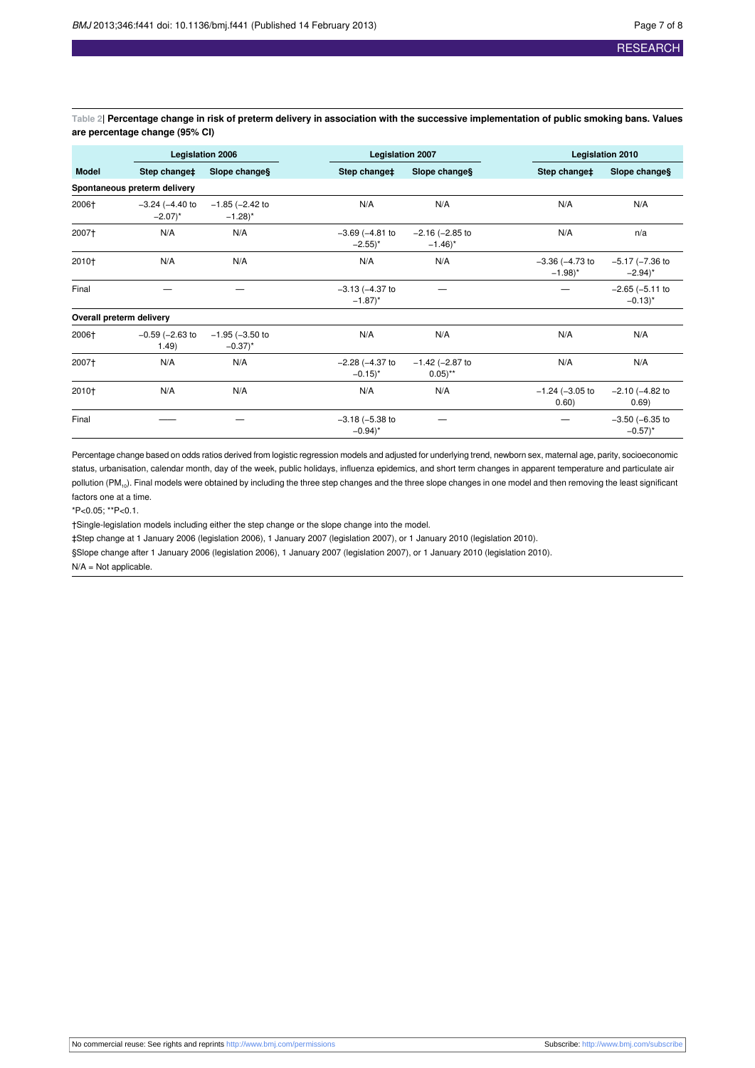<span id="page-6-0"></span>Table 2| Percentage change in risk of preterm delivery in association with the successive implementation of public smoking bans. Values **are percentage change (95% CI)**

|              |                                              | <b>Legislation 2006</b>                      | <b>Legislation 2007</b>                      |                                              | <b>Legislation 2010</b>                      |                                              |  |
|--------------|----------------------------------------------|----------------------------------------------|----------------------------------------------|----------------------------------------------|----------------------------------------------|----------------------------------------------|--|
| <b>Model</b> | Step change‡                                 | Slope changes                                | Step change‡                                 | Slope changes                                | Step change‡                                 | Slope changes                                |  |
|              | Spontaneous preterm delivery                 |                                              |                                              |                                              |                                              |                                              |  |
| 2006†        | $-3.24$ ( $-4.40$ to<br>$-2.07$ <sup>*</sup> | $-1.85$ ( $-2.42$ to<br>$-1.28$ <sup>*</sup> | N/A                                          | N/A                                          | N/A                                          | N/A                                          |  |
| 2007+        | N/A                                          | N/A                                          | $-3.69$ ( $-4.81$ to<br>$-2.55$ <sup>*</sup> | $-2.16$ ( $-2.85$ to<br>$-1.46$ <sup>*</sup> | N/A                                          | n/a                                          |  |
| 2010+        | N/A                                          | N/A                                          | N/A                                          | N/A                                          | $-3.36$ ( $-4.73$ to<br>$-1.98$ <sup>*</sup> | $-5.17$ ( $-7.36$ to<br>$-2.94$ <sup>*</sup> |  |
| Final        |                                              |                                              | $-3.13$ ( $-4.37$ to<br>$-1.87$ <sup>*</sup> |                                              |                                              | $-2.65$ ( $-5.11$ to<br>$-0.13$ <sup>*</sup> |  |
|              | Overall preterm delivery                     |                                              |                                              |                                              |                                              |                                              |  |
| 2006†        | $-0.59$ ( $-2.63$ to<br>1.49)                | $-1.95$ ( $-3.50$ to<br>$-0.37$ <sup>*</sup> | N/A                                          | N/A                                          | N/A                                          | N/A                                          |  |
| 2007+        | N/A                                          | N/A                                          | $-2.28$ ( $-4.37$ to<br>$-0.15$ <sup>*</sup> | $-1.42$ ( $-2.87$ to<br>$0.05$ <sup>**</sup> | N/A                                          | N/A                                          |  |
| 2010+        | N/A                                          | N/A                                          | N/A                                          | N/A                                          | $-1.24$ ( $-3.05$ to<br>0.60)                | $-2.10$ ( $-4.82$ to<br>0.69)                |  |
| Final        |                                              |                                              | $-3.18$ ( $-5.38$ to<br>$-0.94$ <sup>*</sup> |                                              |                                              | $-3.50$ ( $-6.35$ to<br>$-0.57$ <sup>*</sup> |  |

Percentage change based on odds ratios derived from logistic regression models and adjusted for underlying trend, newborn sex, maternal age, parity, socioeconomic status, urbanisation, calendar month, day of the week, public holidays, influenza epidemics, and short term changes in apparent temperature and particulate air pollution  $(PM_{10})$ . Final models were obtained by including the three step changes and the three slope changes in one model and then removing the least significant factors one at a time.

\*P<0.05; \*\*P<0.1.

†Single-legislation models including either the step change or the slope change into the model.

‡Step change at 1 January 2006 (legislation 2006), 1 January 2007 (legislation 2007), or 1 January 2010 (legislation 2010).

§Slope change after 1 January 2006 (legislation 2006), 1 January 2007 (legislation 2007), or 1 January 2010 (legislation 2010).

N/A = Not applicable.